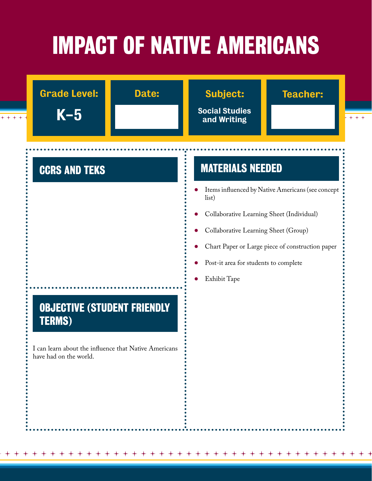# **IMPACT OF NATIVE AMERICANS**

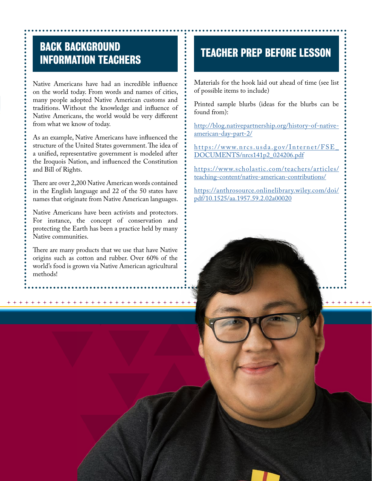## **BACK BACKGROUND INFORMATION TEACHERS TEACHER PREP BEFORE LESSON**

Native Americans have had an incredible influence on the world today. From words and names of cities, many people adopted Native American customs and traditions. Without the knowledge and influence of Native Americans, the world would be very different from what we know of today.

As an example, Native Americans have influenced the structure of the United States government. The idea of a unified, representative government is modeled after the Iroquois Nation, and influenced the Constitution and Bill of Rights.

There are over 2,200 Native American words contained in the English language and 22 of the 50 states have names that originate from Native American languages.

Native Americans have been activists and protectors. For instance, the concept of conservation and protecting the Earth has been a practice held by many Native communities.

There are many products that we use that have Native origins such as cotton and rubber. Over 60% of the world's food is grown via Native American agricultural methods!

Materials for the hook laid out ahead of time (see list of possible items to include)

Printed sample blurbs (ideas for the blurbs can be found from):

[http://blog.nativepartnership.org/history-of-native](http://blog.nativepartnership.org/history-of-native-american-day-part-2/)[american-day-part-2/](http://blog.nativepartnership.org/history-of-native-american-day-part-2/)

[https://www.nrcs.usda.gov/Internet/FSE\\_](https://www.nrcs.usda.gov/Internet/FSE_DOCUMENTS/nrcs141p2_024206.pdf) [DOCUMENTS/nrcs141p2\\_024206.pdf](https://www.nrcs.usda.gov/Internet/FSE_DOCUMENTS/nrcs141p2_024206.pdf)

[https://www.scholastic.com/teachers/articles/](https://www.scholastic.com/teachers/articles/teaching-content/native-american-contributions/) [teaching-content/native-american-contributions/](https://www.scholastic.com/teachers/articles/teaching-content/native-american-contributions/)

[https://anthrosource.onlinelibrary.wiley.com/doi/](https://anthrosource.onlinelibrary.wiley.com/doi/pdf/10.1525/aa.1957.59.2.02a00020) [pdf/10.1525/aa.1957.59.2.02a00020](https://anthrosource.onlinelibrary.wiley.com/doi/pdf/10.1525/aa.1957.59.2.02a00020)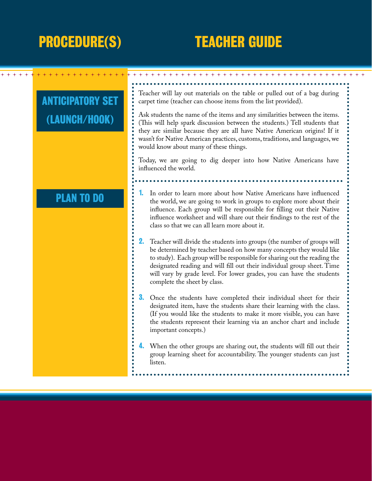## **PROCEDURE(S) TEACHER GUIDE**

### Teacher will lay out materials on the table or pulled out of a bag during **ANTICIPATORY SET** carpet time (teacher can choose items from the list provided). Ask students the name of the items and any similarities between the items. **(LAUNCH/HOOK)** (This will help spark discussion between the students.) Tell students that they are similar because they are all have Native American origins! If it wasn't for Native American practices, customs, traditions, and languages, we would know about many of these things. Today, we are going to dig deeper into how Native Americans have influenced the world. **1.** In order to learn more about how Native Americans have influenced **PLAN TO DO**the world, we are going to work in groups to explore more about their influence. Each group will be responsible for filling out their Native influence worksheet and will share out their findings to the rest of the class so that we can all learn more about it. **2.** Teacher will divide the students into groups (the number of groups will be determined by teacher based on how many concepts they would like to study). Each group will be responsible for sharing out the reading the designated reading and will fill out their individual group sheet. Time will vary by grade level. For lower grades, you can have the students complete the sheet by class. **3.** Once the students have completed their individual sheet for their designated item, have the students share their learning with the class. (If you would like the students to make it more visible, you can have the students represent their learning via an anchor chart and include important concepts.) **4.** When the other groups are sharing out, the students will fill out their group learning sheet for accountability. The younger students can just listen.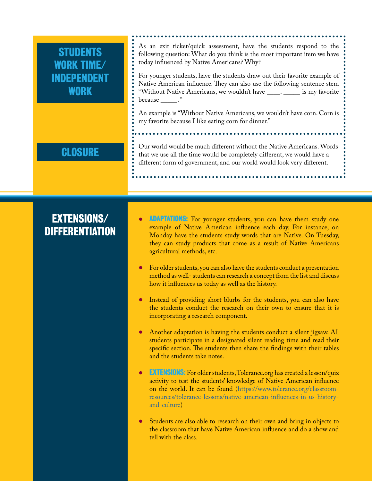| <b>STUDENTS</b><br>WORK TIME/<br><b>INDEPENDENT</b><br><b>WORK</b> | As an exit ticket/quick assessment, have the students respond to the<br>following question: What do you think is the most important item we have<br>today influenced by Native Americans? Why?<br>For younger students, have the students draw out their favorite example of<br>Native American influence. They can also use the following sentence stem<br>"Without Native Americans, we wouldn't have _____. ______ is my favorite<br>because ______. "                                                                                                                                                                                                                                                                                                                                                                                                                                                                                                                                                                                                                                            |
|--------------------------------------------------------------------|------------------------------------------------------------------------------------------------------------------------------------------------------------------------------------------------------------------------------------------------------------------------------------------------------------------------------------------------------------------------------------------------------------------------------------------------------------------------------------------------------------------------------------------------------------------------------------------------------------------------------------------------------------------------------------------------------------------------------------------------------------------------------------------------------------------------------------------------------------------------------------------------------------------------------------------------------------------------------------------------------------------------------------------------------------------------------------------------------|
|                                                                    | An example is "Without Native Americans, we wouldn't have corn. Corn is<br>my favorite because I like eating corn for dinner."                                                                                                                                                                                                                                                                                                                                                                                                                                                                                                                                                                                                                                                                                                                                                                                                                                                                                                                                                                       |
| <b>CLOSURE</b>                                                     | Our world would be much different without the Native Americans. Words<br>that we use all the time would be completely different, we would have a<br>different form of government, and our world would look very different.                                                                                                                                                                                                                                                                                                                                                                                                                                                                                                                                                                                                                                                                                                                                                                                                                                                                           |
| <b>EXTENSIONS/</b><br><b>DIFFERENTIATION</b>                       | <b>ADAPTATIONS:</b> For younger students, you can have them study one<br>example of Native American influence each day. For instance, on<br>Monday have the students study words that are Native. On Tuesday,<br>they can study products that come as a result of Native Americans<br>agricultural methods, etc.<br>For older students, you can also have the students conduct a presentation<br>$\bullet$<br>method as well- students can research a concept from the list and discuss<br>how it influences us today as well as the history.<br>Instead of providing short blurbs for the students, you can also have<br>the students conduct the research on their own to ensure that it is<br>incorporating a research component.<br>Another adaptation is having the students conduct a silent jigsaw. All<br>$\bullet$<br>students participate in a designated silent reading time and read their<br>specific section. The students then share the findings with their tables<br>and the students take notes.<br><b>EXTENSIONS:</b> For older students, Tolerance.org has created a lesson/quiz |

- activity to test the students' knowledge of Native American influence on the world. It can be found (<u>https://www.tolerance.org/classroom-</u> [resources/tolerance-lessons/native-american-influences-in-us-history](https://www.tolerance.org/classroom-resources/tolerance-lessons/native-american-influences-in-us-history-and-culture)[and-culture](https://www.tolerance.org/classroom-resources/tolerance-lessons/native-american-influences-in-us-history-and-culture))
- **●** Students are also able to research on their own and bring in objects to the classroom that have Native American influence and do a show and tell with the class.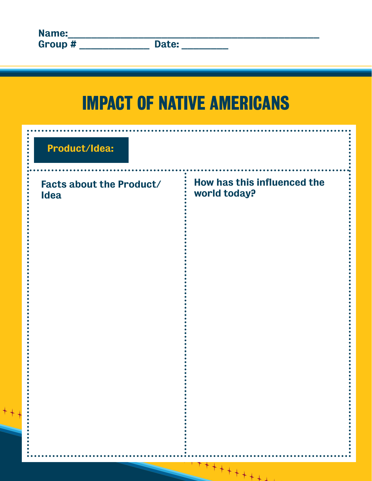## **IMPACT OF NATIVE AMERICANS**

| Product/Idea:                                  |                                             |
|------------------------------------------------|---------------------------------------------|
| <b>Facts about the Product/</b><br><b>Idea</b> | How has this influenced the<br>world today? |
|                                                |                                             |
|                                                |                                             |

 $***$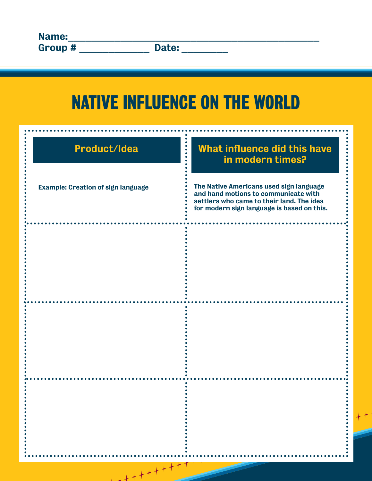## **NATIVE INFLUENCE ON THE WORLD**

| Product/Idea                              | <b>What influence did this have</b><br>in modern times?                                                                                                                    |
|-------------------------------------------|----------------------------------------------------------------------------------------------------------------------------------------------------------------------------|
| <b>Example: Creation of sign language</b> | The Native Americans used sign language<br>and hand motions to communicate with<br>settlers who came to their land. The idea<br>for modern sign language is based on this. |
|                                           |                                                                                                                                                                            |
|                                           |                                                                                                                                                                            |
|                                           |                                                                                                                                                                            |
|                                           |                                                                                                                                                                            |
| $+ + + + + + + + +$                       |                                                                                                                                                                            |